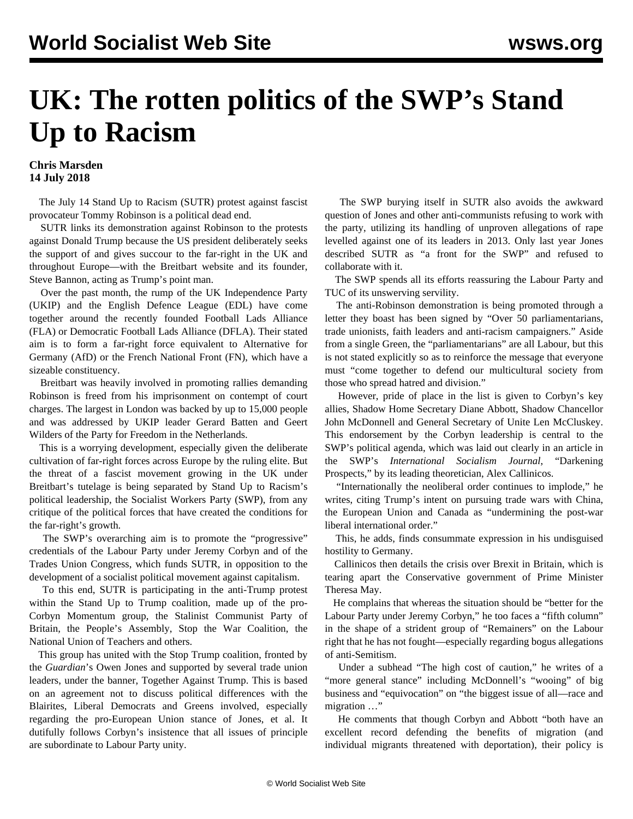## **UK: The rotten politics of the SWP's Stand Up to Racism**

## **Chris Marsden 14 July 2018**

 The July 14 Stand Up to Racism (SUTR) protest against fascist provocateur Tommy Robinson is a political dead end.

 SUTR links its demonstration against Robinson to the protests against Donald Trump because the US president deliberately seeks the support of and gives succour to the far-right in the UK and throughout Europe—with the Breitbart website and its founder, Steve Bannon, acting as Trump's point man.

 Over the past month, the rump of the UK Independence Party (UKIP) and the English Defence League (EDL) have come together around the recently founded Football Lads Alliance (FLA) or Democratic Football Lads Alliance (DFLA). Their stated aim is to form a far-right force equivalent to Alternative for Germany (AfD) or the French National Front (FN), which have a sizeable constituency.

 Breitbart was heavily involved in promoting rallies demanding Robinson is freed from his imprisonment on [contempt of court](/en/articles/2018/06/02/robi-j02.html) [charges.](/en/articles/2018/06/02/robi-j02.html) The largest in London was backed by up to 15,000 people and was addressed by UKIP leader Gerard Batten and Geert Wilders of the Party for Freedom in the Netherlands.

 This is a worrying development, especially given the deliberate cultivation of far-right forces across Europe by the ruling elite. But the threat of a fascist movement growing in the UK under Breitbart's tutelage is being separated by Stand Up to Racism's political leadership, the Socialist Workers Party (SWP), from any critique of the political forces that have created the conditions for the far-right's growth.

 The SWP's overarching aim is to promote the "progressive" credentials of the Labour Party under Jeremy Corbyn and of the Trades Union Congress, which funds SUTR, in opposition to the development of a socialist political movement against capitalism.

 To this end, SUTR is participating in the anti-Trump protest within the Stand Up to Trump coalition, made up of the pro-Corbyn Momentum group, the Stalinist Communist Party of Britain, the People's Assembly, Stop the War Coalition, the National Union of Teachers and others.

 This group has united with the Stop Trump coalition, fronted by the *Guardian*'s Owen Jones and supported by several trade union leaders, under the banner, Together Against Trump. This is based on an agreement not to discuss political differences with the Blairites, Liberal Democrats and Greens involved, especially regarding the pro-European Union stance of Jones, et al. It dutifully follows Corbyn's insistence that all issues of principle are subordinate to Labour Party unity.

 The SWP burying itself in SUTR also avoids the awkward question of Jones and other anti-communists refusing to work with the party, utilizing its handling of unproven allegations of rape levelled against one of its leaders in 2013. Only last year Jones described SUTR as "a front for the SWP" and refused to collaborate with it.

 The SWP spends all its efforts reassuring the Labour Party and TUC of its unswerving servility.

 The anti-Robinson demonstration is being promoted through a letter they boast has been signed by "Over 50 parliamentarians, trade unionists, faith leaders and anti-racism campaigners." Aside from a single Green, the "parliamentarians" are all Labour, but this is not stated explicitly so as to reinforce the message that everyone must "come together to defend our multicultural society from those who spread hatred and division."

 However, pride of place in the list is given to Corbyn's key allies, Shadow Home Secretary Diane Abbott, Shadow Chancellor John McDonnell and General Secretary of Unite Len McCluskey. This endorsement by the Corbyn leadership is central to the SWP's political agenda, which was laid out clearly in an article in the SWP's *International Socialism Journal*, "Darkening Prospects," by its leading theoretician, Alex Callinicos.

 "Internationally the neoliberal order continues to implode," he writes, citing Trump's intent on pursuing trade wars with China, the European Union and Canada as "undermining the post-war liberal international order."

 This, he adds, finds consummate expression in his undisguised hostility to Germany.

 Callinicos then details the crisis over Brexit in Britain, which is tearing apart the Conservative government of Prime Minister Theresa May.

 He complains that whereas the situation should be "better for the Labour Party under Jeremy Corbyn," he too faces a "fifth column" in the shape of a strident group of "Remainers" on the Labour right that he has not fought—especially regarding bogus allegations of anti-Semitism.

 Under a subhead "The high cost of caution," he writes of a "more general stance" including McDonnell's "wooing" of big business and "equivocation" on "the biggest issue of all—race and migration …"

 He comments that though Corbyn and Abbott "both have an excellent record defending the benefits of migration (and individual migrants threatened with deportation), their policy is